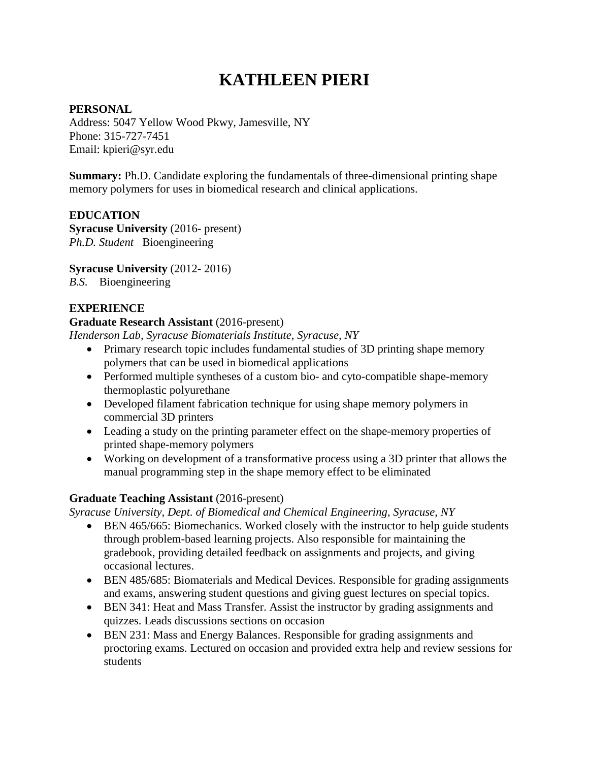# **KATHLEEN PIERI**

#### **PERSONAL**

Address: 5047 Yellow Wood Pkwy, Jamesville, NY Phone: 315-727-7451 Email: kpieri@syr.edu

**Summary:** Ph.D. Candidate exploring the fundamentals of three-dimensional printing shape memory polymers for uses in biomedical research and clinical applications.

## **EDUCATION**

**Syracuse University** (2016- present) *Ph.D. Student* Bioengineering

**Syracuse University** (2012- 2016)

*B.S.* Bioengineering

## **EXPERIENCE**

## **Graduate Research Assistant** (2016-present)

*Henderson Lab, Syracuse Biomaterials Institute*, *Syracuse, NY*

- Primary research topic includes fundamental studies of 3D printing shape memory polymers that can be used in biomedical applications
- Performed multiple syntheses of a custom bio- and cyto-compatible shape-memory thermoplastic polyurethane
- Developed filament fabrication technique for using shape memory polymers in commercial 3D printers
- Leading a study on the printing parameter effect on the shape-memory properties of printed shape-memory polymers
- Working on development of a transformative process using a 3D printer that allows the manual programming step in the shape memory effect to be eliminated

## **Graduate Teaching Assistant** (2016-present)

*Syracuse University, Dept. of Biomedical and Chemical Engineering*, *Syracuse, NY*

- BEN 465/665: Biomechanics. Worked closely with the instructor to help guide students through problem-based learning projects. Also responsible for maintaining the gradebook, providing detailed feedback on assignments and projects, and giving occasional lectures.
- BEN 485/685: Biomaterials and Medical Devices. Responsible for grading assignments and exams, answering student questions and giving guest lectures on special topics.
- BEN 341: Heat and Mass Transfer. Assist the instructor by grading assignments and quizzes. Leads discussions sections on occasion
- BEN 231: Mass and Energy Balances. Responsible for grading assignments and proctoring exams. Lectured on occasion and provided extra help and review sessions for students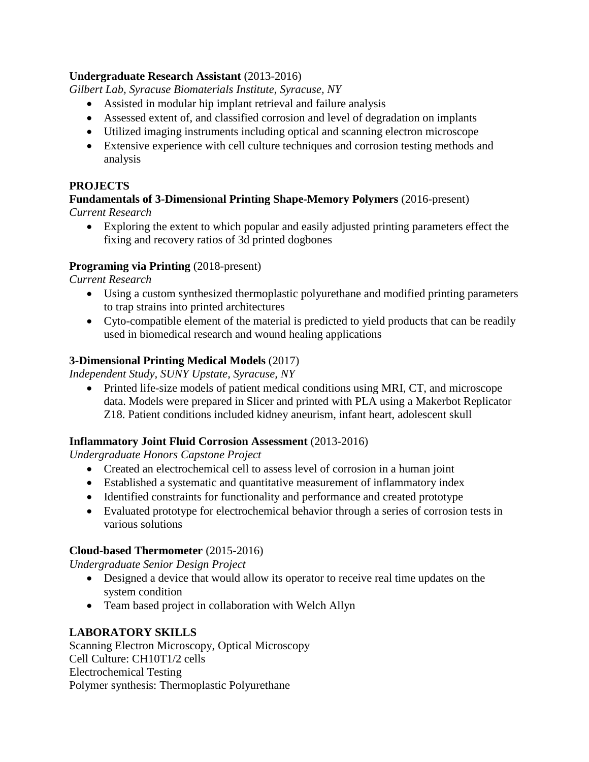## **Undergraduate Research Assistant** (2013-2016)

*Gilbert Lab, Syracuse Biomaterials Institute, Syracuse, NY*

- Assisted in modular hip implant retrieval and failure analysis
- Assessed extent of, and classified corrosion and level of degradation on implants
- Utilized imaging instruments including optical and scanning electron microscope
- Extensive experience with cell culture techniques and corrosion testing methods and analysis

## **PROJECTS**

## **Fundamentals of 3-Dimensional Printing Shape-Memory Polymers** (2016-present)

*Current Research*

• Exploring the extent to which popular and easily adjusted printing parameters effect the fixing and recovery ratios of 3d printed dogbones

## **Programing via Printing** (2018-present)

*Current Research*

- Using a custom synthesized thermoplastic polyurethane and modified printing parameters to trap strains into printed architectures
- Cyto-compatible element of the material is predicted to yield products that can be readily used in biomedical research and wound healing applications

## **3-Dimensional Printing Medical Models** (2017)

*Independent Study, SUNY Upstate, Syracuse, NY*

• Printed life-size models of patient medical conditions using MRI, CT, and microscope data. Models were prepared in Slicer and printed with PLA using a Makerbot Replicator Z18. Patient conditions included kidney aneurism, infant heart, adolescent skull

## **Inflammatory Joint Fluid Corrosion Assessment** (2013-2016)

*Undergraduate Honors Capstone Project*

- Created an electrochemical cell to assess level of corrosion in a human joint
- Established a systematic and quantitative measurement of inflammatory index
- Identified constraints for functionality and performance and created prototype
- Evaluated prototype for electrochemical behavior through a series of corrosion tests in various solutions

## **Cloud-based Thermometer** (2015-2016)

*Undergraduate Senior Design Project*

- Designed a device that would allow its operator to receive real time updates on the system condition
- Team based project in collaboration with Welch Allyn

## **LABORATORY SKILLS**

Scanning Electron Microscopy, Optical Microscopy Cell Culture: CH10T1/2 cells Electrochemical Testing Polymer synthesis: Thermoplastic Polyurethane